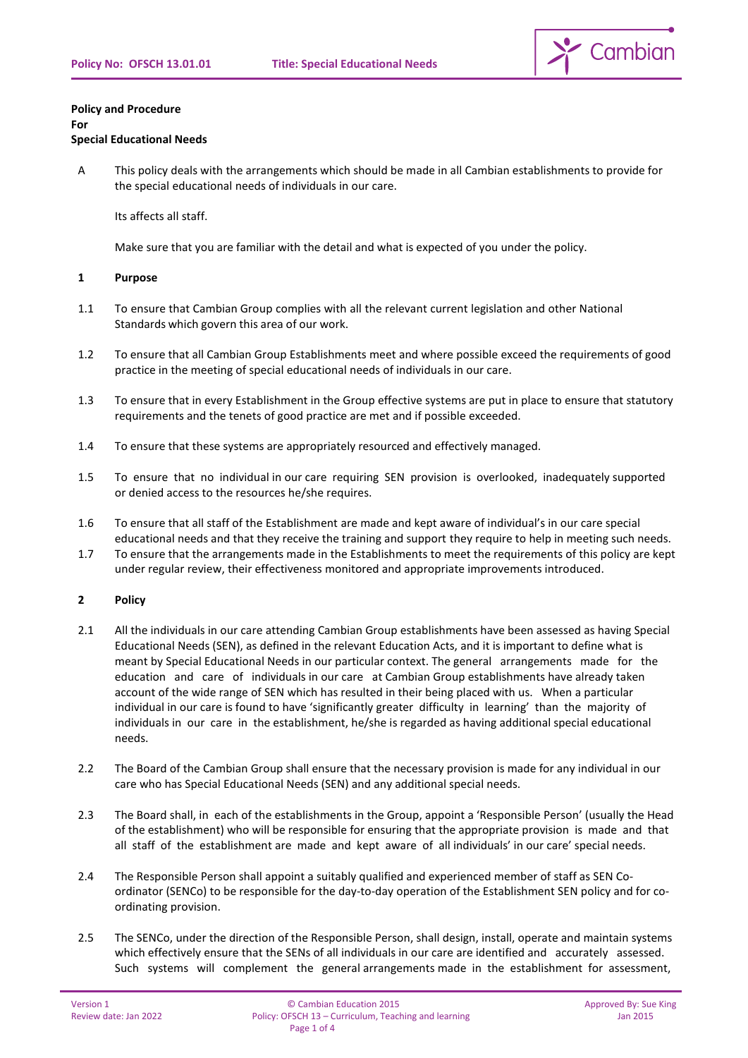

#### **Policy and Procedure For**

# **Special Educational Needs**

A This policy deals with the arrangements which should be made in all Cambian establishments to provide for the special educational needs of individuals in our care.

Its affects all staff.

Make sure that you are familiar with the detail and what is expected of you under the policy.

# **1 Purpose**

- 1.1 To ensure that Cambian Group complies with all the relevant current legislation and other National Standards which govern this area of our work.
- 1.2 To ensure that all Cambian Group Establishments meet and where possible exceed the requirements of good practice in the meeting of special educational needs of individuals in our care.
- 1.3 To ensure that in every Establishment in the Group effective systems are put in place to ensure that statutory requirements and the tenets of good practice are met and if possible exceeded.
- 1.4 To ensure that these systems are appropriately resourced and effectively managed.
- 1.5 To ensure that no individual in our care requiring SEN provision is overlooked, inadequately supported or denied access to the resources he/she requires.
- 1.6 To ensure that all staff of the Establishment are made and kept aware of individual's in our care special educational needs and that they receive the training and support they require to help in meeting such needs.
- 1.7 To ensure that the arrangements made in the Establishments to meet the requirements of this policy are kept under regular review, their effectiveness monitored and appropriate improvements introduced.

# **2 Policy**

- 2.1 All the individuals in our care attending Cambian Group establishments have been assessed as having Special Educational Needs (SEN), as defined in the relevant Education Acts, and it is important to define what is meant by Special Educational Needs in our particular context. The general arrangements made for the education and care of individuals in our care at Cambian Group establishments have already taken account of the wide range of SEN which has resulted in their being placed with us. When a particular individual in our care is found to have 'significantly greater difficulty in learning' than the majority of individuals in our care in the establishment, he/she is regarded as having additional special educational needs.
- 2.2 The Board of the Cambian Group shall ensure that the necessary provision is made for any individual in our care who has Special Educational Needs (SEN) and any additional special needs.
- 2.3 The Board shall, in each of the establishments in the Group, appoint a 'Responsible Person' (usually the Head of the establishment) who will be responsible for ensuring that the appropriate provision is made and that all staff of the establishment are made and kept aware of all individuals' in our care' special needs.
- 2.4 The Responsible Person shall appoint a suitably qualified and experienced member of staff as SEN Coordinator (SENCo) to be responsible for the day-to-day operation of the Establishment SEN policy and for coordinating provision.
- 2.5 The SENCo, under the direction of the Responsible Person, shall design, install, operate and maintain systems which effectively ensure that the SENs of all individuals in our care are identified and accurately assessed. Such systems will complement the general arrangements made in the establishment for assessment,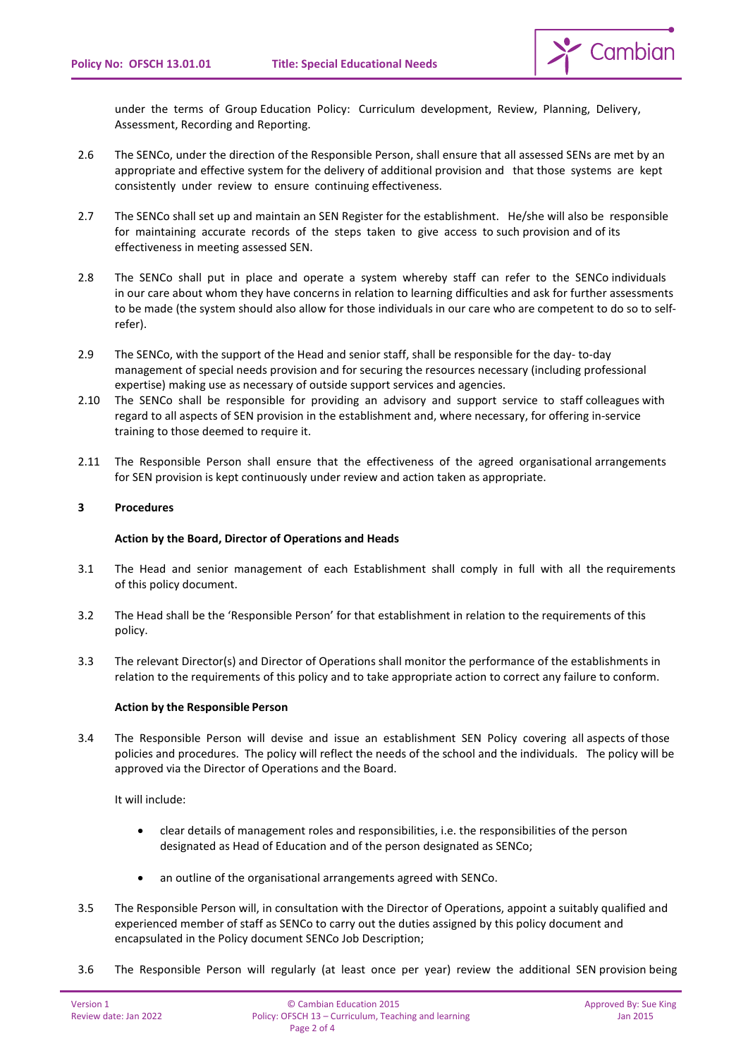

under the terms of Group Education Policy: Curriculum development, Review, Planning, Delivery, Assessment, Recording and Reporting.

- 2.6 The SENCo, under the direction of the Responsible Person, shall ensure that all assessed SENs are met by an appropriate and effective system for the delivery of additional provision and that those systems are kept consistently under review to ensure continuing effectiveness.
- 2.7 The SENCo shall set up and maintain an SEN Register for the establishment. He/she will also be responsible for maintaining accurate records of the steps taken to give access to such provision and of its effectiveness in meeting assessed SEN.
- 2.8 The SENCo shall put in place and operate a system whereby staff can refer to the SENCo individuals in our care about whom they have concerns in relation to learning difficulties and ask for further assessments to be made (the system should also allow for those individuals in our care who are competent to do so to selfrefer).
- 2.9 The SENCo, with the support of the Head and senior staff, shall be responsible for the day- to-day management of special needs provision and for securing the resources necessary (including professional expertise) making use as necessary of outside support services and agencies.
- 2.10 The SENCo shall be responsible for providing an advisory and support service to staff colleagues with regard to all aspects of SEN provision in the establishment and, where necessary, for offering in-service training to those deemed to require it.
- 2.11 The Responsible Person shall ensure that the effectiveness of the agreed organisational arrangements for SEN provision is kept continuously under review and action taken as appropriate.

# **3 Procedures**

# **Action by the Board, Director of Operations and Heads**

- 3.1 The Head and senior management of each Establishment shall comply in full with all the requirements of this policy document.
- 3.2 The Head shall be the 'Responsible Person' for that establishment in relation to the requirements of this policy.
- 3.3 The relevant Director(s) and Director of Operations shall monitor the performance of the establishments in relation to the requirements of this policy and to take appropriate action to correct any failure to conform.

# **Action by the Responsible Person**

3.4 The Responsible Person will devise and issue an establishment SEN Policy covering all aspects of those policies and procedures. The policy will reflect the needs of the school and the individuals. The policy will be approved via the Director of Operations and the Board.

It will include:

- clear details of management roles and responsibilities, i.e. the responsibilities of the person designated as Head of Education and of the person designated as SENCo;
- an outline of the organisational arrangements agreed with SENCo.
- 3.5 The Responsible Person will, in consultation with the Director of Operations, appoint a suitably qualified and experienced member of staff as SENCo to carry out the duties assigned by this policy document and encapsulated in the Policy document SENCo Job Description;
- 3.6 The Responsible Person will regularly (at least once per year) review the additional SEN provision being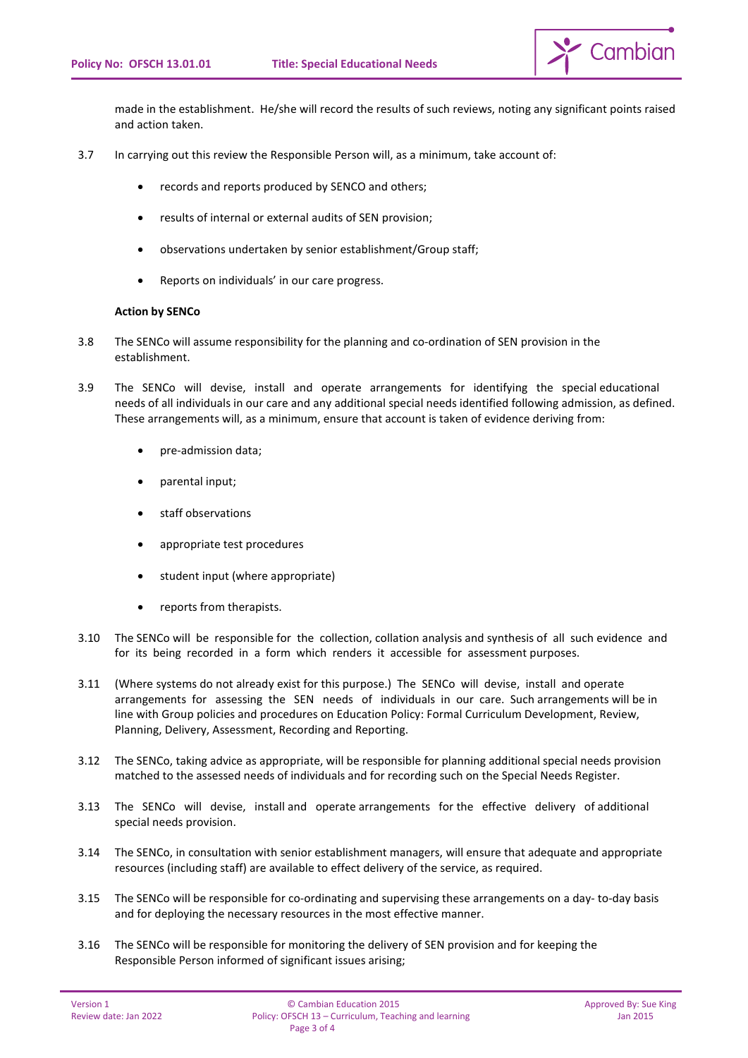

made in the establishment. He/she will record the results of such reviews, noting any significant points raised and action taken.

- 3.7 In carrying out this review the Responsible Person will, as a minimum, take account of:
	- records and reports produced by SENCO and others;
	- results of internal or external audits of SEN provision;
	- observations undertaken by senior establishment/Group staff;
	- Reports on individuals' in our care progress.

# **Action by SENCo**

- 3.8 The SENCo will assume responsibility for the planning and co-ordination of SEN provision in the establishment.
- 3.9 The SENCo will devise, install and operate arrangements for identifying the special educational needs of all individuals in our care and any additional special needs identified following admission, as defined. These arrangements will, as a minimum, ensure that account is taken of evidence deriving from:
	- pre-admission data;
	- parental input;
	- staff observations
	- appropriate test procedures
	- student input (where appropriate)
	- reports from therapists.
- 3.10 The SENCo will be responsible for the collection, collation analysis and synthesis of all such evidence and for its being recorded in a form which renders it accessible for assessment purposes.
- 3.11 (Where systems do not already exist for this purpose.) The SENCo will devise, install and operate arrangements for assessing the SEN needs of individuals in our care. Such arrangements will be in line with Group policies and procedures on Education Policy: Formal Curriculum Development, Review, Planning, Delivery, Assessment, Recording and Reporting.
- 3.12 The SENCo, taking advice as appropriate, will be responsible for planning additional special needs provision matched to the assessed needs of individuals and for recording such on the Special Needs Register.
- 3.13 The SENCo will devise, install and operate arrangements for the effective delivery of additional special needs provision.
- 3.14 The SENCo, in consultation with senior establishment managers, will ensure that adequate and appropriate resources (including staff) are available to effect delivery of the service, as required.
- 3.15 The SENCo will be responsible for co-ordinating and supervising these arrangements on a day- to-day basis and for deploying the necessary resources in the most effective manner.
- 3.16 The SENCo will be responsible for monitoring the delivery of SEN provision and for keeping the Responsible Person informed of significant issues arising;